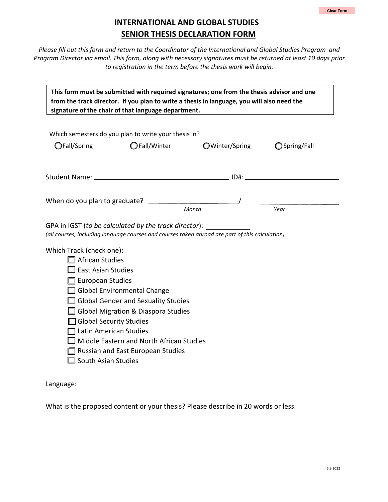## **INTERNATIONAL AND GLOBAL STUDIES SENIOR THESIS DECLARATION FORM**

*Please fill out this form and return to the Coordinator of the International and Global Studies Program and Program Director via email. This form, along with necessary signatures must be returned at least 10 days prior to registration in the term before the thesis work will begin.*

| This form must be submitted with required signatures; one from the thesis advisor and one<br>from the track director. If you plan to write a thesis in language, you will also need the<br>signature of the chair of that language department.                                                                                                                                                                                                                                                                                                                    |               |                |               |  |  |
|-------------------------------------------------------------------------------------------------------------------------------------------------------------------------------------------------------------------------------------------------------------------------------------------------------------------------------------------------------------------------------------------------------------------------------------------------------------------------------------------------------------------------------------------------------------------|---------------|----------------|---------------|--|--|
| Which semesters do you plan to write your thesis in?                                                                                                                                                                                                                                                                                                                                                                                                                                                                                                              |               |                |               |  |  |
| OFall/Spring                                                                                                                                                                                                                                                                                                                                                                                                                                                                                                                                                      | ◯ Fall/Winter | OWinter/Spring | ◯ Spring/Fall |  |  |
|                                                                                                                                                                                                                                                                                                                                                                                                                                                                                                                                                                   |               |                |               |  |  |
|                                                                                                                                                                                                                                                                                                                                                                                                                                                                                                                                                                   |               |                |               |  |  |
| Month<br>Year<br>GPA in IGST (to be calculated by the track director):<br>(all courses, including language courses and courses taken abroad are part of this calculation)<br>Which Track (check one):<br>$\Box$ African Studies<br><b>East Asian Studies</b><br>European Studies<br>$\Box$ Global Environmental Change<br>Global Gender and Sexuality Studies<br>Global Migration & Diaspora Studies<br>Global Security Studies<br>Latin American Studies<br>Middle Eastern and North African Studies<br>Russian and East European Studies<br>South Asian Studies |               |                |               |  |  |
| Language:                                                                                                                                                                                                                                                                                                                                                                                                                                                                                                                                                         |               |                |               |  |  |

What is the proposed content or your thesis? Please describe in 20 words or less.